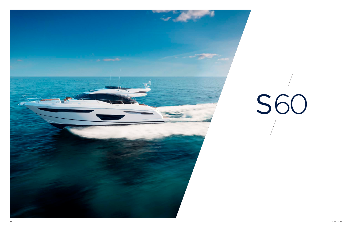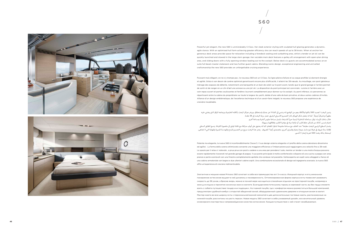S60

Powerful yet elegant, the new S60 is unmistakably S Class. Her sleek exterior styling with sculpted hull glazing generates a dynamic, agile stance. With an optimised hull form achieving greater efficiency she can reach speeds of up to 38 knots. When at anchor her generous deck areas provide space for relaxation including a foredeck seating and sunbathing area, whilst a tender or jet ski can be quickly launched and stowed in the large stern garage. Her sociable main deck features a galley aft arrangement with open-plan dining area, and sliding doors with a fully opening window leading out to the cockpit. Below deck six guests are accommodated across an en suite full-beam master stateroom and two further guest cabins. Blending iconic design, exceptional engineering and unrivalled craftsmanship the new S60 provides an unforgettable cruising experience.

Puissant mais élégant, on ne s'y trompe pas ; le nouveau S60 est un S Class. Sa ligne pleine d'allure et sa coque profilée lui donnent énergie et agilité. Grâce à son dessin de carène optimisé garantissant encore plus d'efficacité, il atteint les 38 nœuds. Au mouillage, son pont généreux ménage des espaces de détente, notamment une banquette et un bain de soleil sur le pont avant, tandis que le grand garage à l'arrière permet de sortir et de ranger en un clin d'œil une annexe ou une jet ski. La disposition du pont principal est conviviale : cuisine à l'arrière avec un coin repas ouvert et portes coulissantes et fenêtre s'ouvrant complètement pour donner sur le cockpit. Au pont inférieur, six personnes se répartissent entre la cabine du propriétaire sur toute la largeur du yacht, dotée d'une salle de bain privative, et deux autres cabines d'invités. Alliance d'un design emblématique, de l'excellence technique et d'un savoir-faire inégalé, le nouveau S60 propose une expérience de



croisière inoubliable.

يتميز اليخت ا لجديد 60S بالقوة واألناقة، وهو من الواضح انه ينتمي إىل الفئة S ّ عن جدارة واستحقاق. ويزخر هيكل اليخت بأناقته الخارجية وبزجاجه الرباق الذي يضفي عليه مظهراً ديناميكياً رشيقاً. كما انه بفضل شكل الهيكل ذات التصميم الانسيابي الرشيق، تصل سرعة اليخت إلى 38 عقدة. خالل ساعات اإلرساء، توفّر مساحاته الداخلية الرحبة حيزاً لالسرتخاء تشمل مساحة جلوس أمامية ومساحة أخرى ّ لحامم شمس، كذلك من املمكن حفظ قارب أو دراجة مياه يف مؤخرة القارب واطالقهام بسهولة. يشمل السطح الرئيسي لليخت مطبخا" عند الخلف مع مساحة مفتوحة لتناول الطعام، كما انه يحتوي على أبواب منزلقة مع نافذة تؤدي الى مقصورة القيادة. يتسع الطابق السفلى لإقامة ستة ضيوف في غرفة نوم ماستر مزودة بحمام وقمرتين أخريين مخصصتين أيضا" للضيع مذا اليخت مزيج من التصميم المبدع والهندسة المميزة والمهارة التي لا تضاهى، ليمنحك بذلك يخت 60S تجربة إبحار ال تُتنىس.

Potente ma elegante, la nuova S60 è inconfondibilmente Classe S. Il suo design esterno elegante e il profilo della carena denotano dinamismo ed agilita'. La forma della carena ottimizzata consente una maggiore efficienza e l'imbarcazione può raggiungere una velocità fino a 38 nodi. Lo spazio per il relax e' notevole , a prua prua con posti a sedere e una area per prendere il sole, mentre un tender o una moto d'acqua possono essere rapidamente ricoverati nel grande garage di poppa. Il suo ponte principale è molto confortevole e dispone di una cucina a poppa con area pranzo e porte scorrevoli con una finestra completamente apribile che conduce nel pozzetto. Sottocoperta sei ospiti sono alloggiati a fianco di una cabina armatoriale con bagno e due ulteriori cabine ospiti. Una combinazione eccezionale di design ed ingegneria avanzata .la nuova S60 offre un'esperienza di crociera indimenticabile.

Элегантная и мощная новая Princess S60 сочетает в себе все преимущества яхт S-класса. Изящный корпус и его уникальное панорамное остекление выдают в ней динамику и маневренность. Оптимизированная форма корпуса яхты позволяет развивать скорость до 38 узлов, а бросив якорь, можно в полной мере насладиться спокойным отдыхом на просторной палубе, например в зоне для отдыха и принятия солнечных ванн в кокпите. Благодаря вместительному гаражу в кормовой части, вы без труда сможете взять с собой в путешествие тендер или гидроцикл. На главной палубе, где с комфортом можно разместиться большой компанией, предусмотрен удобный камбуз с открытой обеденной зоной, оборудованный сдвижными дверями и откидным окном в кокпит. Мастер-каюта во всю ширину яхты с персональной ванной комнатой и две дополнительные гостевые каюты, расположенные на нижней палубе, рассчитаны на шесть персон. Новая модель S60 сочетает в себе узнаваемый дизайн, исключительный уровень инженерного мастерства и непревзойденное качество исполнения. Каждое путешествие с ней станет незабываемым.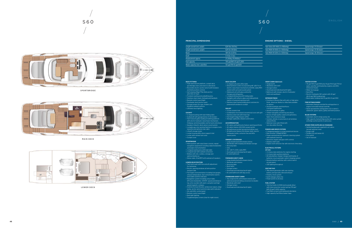SPORTBRIDGE



LOWER DECK

MAIN DECK



# **PRINCIPAL DIMENSIONS**

| Length overall (incl. pulpit)    |
|----------------------------------|
| Length overall (excl. pulpit)    |
| <b>Beam</b>                      |
| Draft                            |
| Displacement approx.             |
| Fuel capacity                    |
| Water canacity (incl. calorifier |

|  | <b>ENGINE OPTIONS - DIESEL</b> |
|--|--------------------------------|
|  |                                |

| Twin Volvo D13-900 (2 x 900mhp) | Speed range: 31-33 knots <sup>+</sup>  |
|---------------------------------|----------------------------------------|
| Twin MAN V8 1000 (2 x 1000mhp)  | Speed range: 33-35 knots <sup>+</sup>  |
| Twin MAN V8 1200 (2 x 1200mhp)  | 'Speed range: 36-38 knots <sup>+</sup> |

#### **DECK FITTINGS**

- Teak-laid transom platform, cockpit deck, sportbridge stairs and stairs to side decks
- Reversible electric anchor winch with foredeck
- and helm position controls • Self-stowing 32kg/77lbs Delta anchor
- with 40m of chain
- Foredeck seating and sunbathing area • Stainless-steel cleats, fairleads and handrails
- Remote control searchlight • Freshwater deck/anchor wash
- Storage lockers for rope, fenders and
- foredeck sunbed cushions • LED deck level lighting

#### **COCKPIT**

- U-shaped seating with teak folding table • Sunbed aft with garage below (3.3m tender)
- Twin transom gates leading to bathing platform
- with electro-hydraulic raise/lower mechanism, foldaway swimming ladder and hot and cold shower
- Speakers linked to deck saloon sound system
- Lockable gas strut assisted hatches to engine room, lazarette and optional crew cabin
- Liferaft storage locker
- Locker housing 240v shore support inlet • Locker with remote fuel cocks
- Cockpit cover

#### **SPORTBRIDGE** • Helm position with raise/lower console, repeat

- navigation equipment including radar/chartplotter
- and engine instrumentation • L-shaped seating area with teak table
- L-shaped seat with sunbed conversion
- Wetbar with sink, coolbox, storage and optional barbecue
- Stereo radio, iPod/MP3 with waterproof speakers

## **LOWER HELM POSITION**

- Twin helm seats with fore and aft adjustment for helmsman
- Electric opening windows at helm position
- and port side
- Full engine instrumentation including fuel gauges, exhaust temperature, fuel contamination alarms and rudder position indicator
- Navigation system including colour radar,
- GPS and chartplotter, VHF/RT, speed and distance log, echo sounder with alarm, autopilot and high
- speed magnetic compass
- pump, anchor winch and trim tabs (with indicator)
- 24v and 240v control panel • Remote control searchlight
- Red night lighting
- Toughened glass screen (clear for night vision)

# S60 ENGLISH

**DECK SALOON**

• U-shaped sofa and coffee table

• Entertainment centre incorporating 48" LED TV on electric raise/lower mechanism and DVD, radio/MP3

system with surround sound system • Sideboard unit with glass and bottle storage and refrigerator

• L-shaped dining area with folding table • Skylights with reflecto-glass and sliding blinds (option of powered opening roof)

• Stainless steel framed sliding doors and electric

powered aft window to cockpit

# **GALLEY**

- Large double bed with drawers below
- Wardrobe with shelves
- Dressing table • Deck hatch
- Storage lockers
- Overhead and individual berth lights
- 
- 
- Controls for bow thruster, windscreen wipers, bilge
	-

• 3-zone ceramic hob • Combination microwave/conventional oven with grill

- Stainless steel sink with mixer tap
- Full-height fridge/freezer (270l)
- Storage cupboards, drawers and lockers

# **ACCOMMODATION**

 $62$ ft 11in (19.17m) Length overall (excl. pulpit) 62ft 1in (18.92m) 16ft 0in (4.87m)  $5$  ft 0in (1.5m) 27,200kg (59,966lbs)\* 705 gal/845 US gal/3,200l 132 gal/159 US gal/603l

 $S60 / 49$ **48 49**

- All cabins and bathrooms feature opening portholes
- All cabins feature 220/240v power points
- All mattresses pocket sprung (excluding crew) • All bathrooms feature full shower stalls, electric freshwater toilets, extractor fan and 240v shaver points

# **OWNER'S STATEROOM**

- Large double bed with drawers below
- Wardrobes with hanging and drawer storage • Dressing table
- Sofa
- 40" LED TV, DVD, radio/MP3
- Overhead and individual berth lights
- En suite bathroom

#### **FORWARD GUEST CABIN**

• En suite bathroom with day access

**STARBOARD GUEST CABIN**

• Two single berths with drawers below with optional powered sliding conversion to double

• Wardrobe with shelf • Storage lockers

• Overhead and individual berth lights

## **CREW CABIN (Optional)**

- Single berth
- Wardrobe with shelf
- Storage lockers
- Overhead and individual berth lights • Bathroom with shower, electric freshwater
- toilet and washbasin

#### **INTERIOR FINISH**

- Furniture in Rovere Oak with satin or high gloss finish. American Walnut or Alba Oak available as options
- Avonite worktops and tiled floors in all guest bathrooms
- Avonite worktops in galley
- Timber-laid galley and dining area floors
- Choice of high quality carpet and upholstery
- fabric from extensive range • Curtains, blinds or sunscreens to all windows and portholes
- 
- Optional crew cabin fitted with non slip safety flooring

## **POWER AND DRIVE SYSTEMS**

- 5-bladed propellers in nickel aluminium bronze
- Bow thruster (130kgf/287lbf)
- Power-assisted electro-hydraulic steering system with hydraulic back-up
- Electronic engine and gear shift controls
- Dripless shaft seals
- Engine room extractor fan with electronic time delay

#### **ELECTRICAL SYSTEMS**

- 4 x heavy duty auxiliary batteries
- batteries via an automatic switch charging system
- **24 Volt:**
- 4 x heavy duty batteries for engine starting
- 
- 60 amp battery charger charges both banks of
- Remote battery switches with control switch
- at main panel
- LED lighting throughout

# **220/240 Volt:**

- 11Kw diesel generator with own starting
- battery and specially silenced exhaust
- Polarity check system
- Earth leakage safety trip
- Power points to all areas

# **FUEL SYSTEM**

- Twin fuel tanks (in NS8 marine grade alloy) with interconnection system giving 705 gal/
- 845 US gal/3,200l capacity
- Fuel fillers on port and starboard side decks • High capacity fuel filters/water traps

#### **WATER SYSTEM**

- 116 gal/159 US gal/530l plus 16 gal/19 US gal/73l hot water calorifier and heated by engines and 240v immersion heater
- Water level gauge
- Deck filler
- Electric freshwater WC system with 40 gal/
- 48 US gal/180l holding tank
- Black water holding tank 55 gal/66 US gal/250l

# **FIRE EXTINGUISHERS**

- Automatic/manual override fire extinguishers in engine room with manual override
- Hand-operated fire extinguishers (5) in owner's stateroom, guest cabins, galley and helm position

## **BILGE SYSTEMS**

- Automatic electric bilge pumps (6)
- High capacity manual bilge pump with valve system and bilge suction points in same area

# **OTHER ITEMS SUPPLIED AS STANDARD**

- Quilted bedspreads supplied to all cabins
- (except optional crew)
- Ensign staff
- Fenders (6) and warps (4)
- First aid kit
- Set of manuals



S60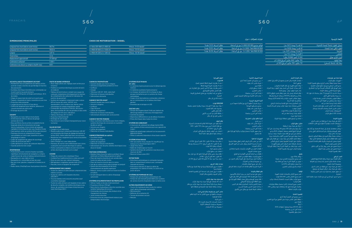# erançais son segund de segund de segund de la constantin de la constantin de la constantin de la constantin de

Longueur hors tout (balcon avant inclus) 19,17 m Longueur hors tout (balcon avant exclus) 18,92 m Largeur 4,87 m Tirant d'eau 1,5 m Déplacement approximatif 27 200 kg\* Contenance carburant 3 200 l Contenance eau douce (y compris chauffe-eau) [6031]

# **DIMENSIONS PRINCIPALES**

# **CHOIX DE MOTORISATION – DIESEL**

#### **ACCASTILLAGE ET ÉQUIPEMENTS DE PONT**

de chaîne

- Revêtement teck sur plateforme de tableau arrière, pont de cockpit, marches du sportbridge et marches des passavants
- Guindeau électrique réversible avec commandes sur le pont avant et au poste de barre • Ancre Delta 32 kg avec arrimage automatique, 40 m
- Sièges et espace bain de soleil sur le pont avant
- Taquets, chaumards et mains-courantes en acier inox
- Projecteur télécommandé • Lavage de pont et d'ancre à l'eau douce
- Coffres de rangement pour amarres, défenses et coussins de bain de soleil avant
- Éclairage de pont à LED

#### **COCKPIT**

- Banquette en U avec table en teck pliante • Arrière bain de soleil au-dessus du garage
- (annexe de 3,3 m) • Deux portillons d'accès arrière à la plateforme de baignade dotée d'un mécanisme de levage
- électro-hydraulique, d'une échelle de baignade repliable et d'une douche avec eau chaude et froide • Haut-parleurs reliés au système hifi du salon de pont
- Panneaux d'accès au compartiment moteurs verrouillables sur vérin à gaz, lazarette et cabine
- d'équipage en option • Coffre de rangement de radeau de sauvetage
- Coffre de prise de quai 240 V
- Coffre abritant les vannes de carburant déportées • Taud de protection de cockpit

## **SPORTBRIDGE**

- Poste de barre avec console à hauteur ajustable, répétiteurs d'instruments de navigation y compris radar/traceur de cartes et tableau de bord moteurs
- Banquette en L avec table en teck
- Banquette en L convertible en bain de soleil
- Bar avec évier, glacière, rangement et barbecue en option
- Radio stéréo, iPod/mp3 avec haut-parleurs étanches

#### **POSTE DE BARRE INTÉRIEUR**

- Deux sièges pilote avec réglage avant-arrière pour le barreur • Fenêtres à ouverture électrique au poste de barre
- et à bâbord • Tableau de bord moteurs complet avec jauges de
- carburant, température d'échappement et alarr
- de contamination du carburant et indicateur de position du gouvernail
- Système de navigation comprenant radar couleur, GPS et traceur de cartes, VHF/RT, loch-
- speedomètre, écho-sondeur avec alarme, pilote automatique et compas magnétique rapide
- Commandes du propulseur d'étrave, des essuieglace, de la pompe de cale, de guindeau et des volets
- de réglage de trim (avec indicateur) • Tableau électrique 24 V et 240 V

# • Projecteur télécommandé

- Éclairage de nuit (rouge) • Pare-brise en verre trempé (transparent pour vision
- nocturne)

# **SALON DE PONT**

- Hélices 5 pales en bronze nickel aluminiur • Propulseur d'étrave (130 kgf) • Barre électro-hydraulique à direction assistée avec système hydraulique de secours
- Commandes électroniques des moteurs et du changement de vitesses
- Joints d'arbre étanches
- Extracteur d'air du compartiment moteurs avec temporisateur électronique
- Canapé en U et table basse • Meuble audiovisuel comprenant téléviseur LED 48" sur mécanisme électrique de réglage de hauteur et lecteur DVD, chaîne radio/mp3 avec son surround
- Meuble bar avec rangement pour verres et bouteilles et réfrigérateur
- Salle à manger en L avec table pliante • Panneaux de roof en verre réfléchissant avec stores
- coulissants (toit ouvrant électrique en option) • Portes coulissantes à châssis en acier inox et vitre arrière électrique donnant sur le cockpit

# **CUISINE**

- Plaque de cuisson vitro-céramique 3 feux
- Combiné four traditionnel/micro-ondes avec grill • Évier en acier inox avec robinet mélangeur
- Réfrigérateur-congélateur grande taille (270 l)
- Placards, tiroirs et équipets de rangement

• Extincteurs manuels (5) dans la cabine du propriétaire, les cabines d'invités, la cuisine et au

## **AMÉNAGEMENT DES CABINES**

- Toutes les cabines et salles de bain comprennent des
- hublots ouvrants • Toutes les cabines sont équipées de prises
- 220/240 V
- Tous les matelas sont à ressorts ensachés (sauf
- couchettes équipage)
- Toutes les salles de bain sont équipées d'une cabine de douche complète, de toilettes électriques à eau douce, de ventilation électrique et de prises pour rasoir électrique 240 V

# **CABINE DU PROPRIÉTAIRE**

- Grand lit double avec tiroirs intégrés • Armoires à rangements penderie et tiroir
- $\cdot$  Coiffeus
	- Canapé • Téléviseur LED 40", DVD, radio/mp3
		- Plafonnier et liseuses individuelles • Salle de bain attenante

|                                |                                   | نطاق السرعة: 33-31 عقدة† | فولفو مزدوج 900-D13 (900 x 2 ميل في الساعة)   | 62 قدم 11 بوصة (19.17 متر)  | إجمالى الطول (شاملاً المنصة الأمامية) |
|--------------------------------|-----------------------------------|--------------------------|-----------------------------------------------|-----------------------------|---------------------------------------|
| 2 x Volvo D13-900 (2 x 900 ch) | Vitesse: 31-33 nœuds <sup>+</sup> | نطاق السرعة: 35-33 عقدة† | ـ 2 x 1,000) Twin MAN V8 1000 ميل في الساعة)  | 62 قدم 1 بوصة (18.92 متر)   | لطول الكلى (عدا المنصة)               |
| 2 x MAN V8 1000 (2 x 1 000 ch) | Vitesse: 33-35 nœuds <sup>+</sup> |                          |                                               |                             |                                       |
|                                |                                   | نطاق السرعة: 38-36 عقدة† | - 2 x 1,200) Twin MAN V8 1200 ميل في الساعة ) | 16 قدمًا 0 بوصات (4.87 متر) | العارضة                               |
| 2 x MAN V8 1200 (2 x 1 200 ch) | Vitesse: 36-38 nœuds <sup>+</sup> |                          |                                               |                             |                                       |
|                                |                                   |                          |                                               | 5 أقدام 0 بوصات (1.5 متر)   |                                       |

# **CABINE D'INVITÉS AVANT**

- ودرج الجسر الرياضي ودرج إلى أسطح المركب الجانبية
- •ونش كهربايئ قابل لالنعكاس للمرساة مع أزرار للتحكم يف سطح السفينة الأمامى ومقعد القيادة
- •مرساة دلتا وزن 32 كيلوغرام77/ رطل بسلسلة ذات طول <sup>40</sup>
- ـ متر مزودة بخاصية الطي الذاتي
- •منطقة للجلوس ولحاممات الشمس مبقدمة املركب
- •مرابط حبال ومقابض من الفوالذ الذي ال يصدأ
	- كشّاف إضاءة بوحدة تحك عن بُعد
- •مضخات للامء العذب لغسل سطح املركب/املرساة
- •دواليب تخزين للحبال وماصات الصدمات ووسائل الشيزلونغات مبقدمة املركب
	- •إضاءات LED لسطح املركب
- Grand lit double avec tiroirs intégrés • Armoire à étagères
- Coiffeuse
- Capot de pont
- Coffres de rangement
- Plafonnier et liseuses individuelles • Salle de bain attenante avec accès journée

# **CABINE D'INVITÉS TRIBORD**

- Deux couchettes individuelles avec tiroirs intégrés, système électrique de conversion en couchette
- double en option
- Armoire avec étagère
- Coffres de rangement • Plafonnier et liseuses individuelles

# **CABINE D'ÉQUIPAGE (en option)**

- Couchette simple
- Armoire avec étagère • Coffres de rangement
- Plafonnier et liseuses individuelles
- Salle de bain avec douche, toilettes électriques à eau douce et lavabo
- •كامل معدات املحرك التي تشمل معيار الوقود، درجة الحرارة، إنذار تلوث الوقود، مؤرش موضع الدفة
- •نظام للمالحة يشمل رادار ملون ونظام تحديد املواقع )GPS) وأداة رسم الخرائط وRT/VHF وسجالت الرسعة واملسافة وجهاز انعكاس الصوت باإلنذار وأداة املالحة اآللية وبوصلة مغناطيسية عالية الرسعة
	- •ّ أزرار التحكم يف وحدة دفع املقدمة ومساحات للزجاج
- الأمامي ومضخات لمياه جوف المركب وونش للمرساة وأجنحة للتوازن (مؤشر)
	- •لوحة تحكم 24 فولت و240 فولت
	- كشَّاف إضاءة بوحدة تحك عن بُعد •إضاءة ليلية حمراء
	- شاشة من الزجاج المقوى (شفافة للرؤية الليلية)

## **FINITIONS INTÉRIEURES**

- Mobilier Chêne foncé fini satiné ou brillant. Noyer américain ou Chêne Alba proposés en option • Plans de travail en Avonite et sols carrelés dans
- toutes les salles de bain invités • Plans de travail en Avonite dans la cuisine
- Sols de la cuisine et de la salle à manger en parquet • Grand choix de moquettes et de tissus d'ameublement de qualité supérieure
- Rideaux, stores ou pare-soleil sur toutes les fenêtres et hublots
- Sol anti-dérapant dans la cabine d'équipage optionnelle

# **SYSTÈMES D'ALIMENTATION ET DE PROPULSION**

- •رسير مزدوج كبري الحجم أسفله أدراج
- •منطقة لتغيري املالبس مزودة بحيز للتعليق مع أدراج للتخزين •طاولة تزيني
	- •أريكة
	- •تلفاز 40 LED بوصة ومشغل أسطوانات DVD
		- •إضاءة أعىل الرسير ومنفصلة
		- حمام مرفق بالمقصورة
		-

# **SYSTÈMES ÉLECTRIQUES**

- سريران فرديان أسفلهما أدراج مع إمكانية ضمهما لسرير
	- .<br>مزدوج بتحريكهما كهربائياً
	- •خزينة مالبس ذات رفوف
		- •دواليب للتخزين
	- •إضاءة أعىل الرسير ومنفصلة
- **24 volts :**
- 4 x batteries haute puissance pour le démarrage des moteurs
- 4 x batteries auxiliaires haute puissance
- Le chargeur de batterie 60 A recharge les deux
- groupes de batteries par un système de charge
- automatique • Coupe-circuit des batteries commandés à distance par un commutateur sur le tableau électrique
- général • Ensemble des éclairages en LED

# **220/240 volts :**

• Groupe électrogène diesel 11 kW avec batterie de démarrage dédiée et silencieux d'échappement

• Contrôle de polarité

• Disjoncteur différentiel en cas de défaut d'isolation • Prises électriques dans toutes les zones

> •محرك إلكرتوين وأدوات للتحكم يف رافعة نقل الرتوس •سدادات لعمود التدوير مقاومة للترسيب .<br>• شفاطات لغرفة المحرك مع ميقاتي زمني إلكتروني.

**SYSTÈME DE CARBURANT**

• 2 réservoirs de carburant (en alliage marine NS8) avec système d'interconnexion pour une capacité de

3 200 l

• Nables de remplissage carburant sur les passavants

bâbord et tribord

• Filtres à carburant/séparateurs d'eau haute capacité

**SYSTÈME D'EAU DOUCE**

• خزانا وقود (من خليط NS8 الملائم للاستخدامات البحرية) مع نظام لالتصال البيني يتيح سعات 705 غالون / <sup>845</sup>

• 530 l plus ballon d'eau chaude 73 l chauffé par les moteurs et un thermoplongeur 240 V

• Jauge d'eau douce

• Nable de remplissage sur le pont

• Système électrique de sanitaires à eau douce avec

réservoir de 180 l • Réservoir d'eaux usées 250 l

• Extincteurs automatiques à commande manuelle dans le compartiment moteurs avec commande

manuelle de secours

poste de barre

• Mât de pavillo

**SYSTÈMES DE POMPAGE DE CALE**

ا<br>الملاحة الإضافية) •ساري للراية

• Pompes de cale électriques automatiques (6) • Pompe de cale manuelle grand débit avec système de vannes et points d'aspiration dans la même zone

**AUTRES ÉQUIPEMENTS DE SÉRIE**

• Couvre-lits matelassés dans toutes les cabines (sauf cabine d'équipage optionnelle)

• Défenses (6) et amarres (4) • Trousse de premiers secours

• Manuels

**EXTINCTEURS** 

# عريب

# **األبعاد الرئيسية**

الوزن املُزاح حوايل 27.200 كجم )59.966 رطل(\*

سعة الوقود <sup>705</sup> جالون 845/ جالون أمرييك3.200/ لرت

سعة املاء )شاملة املسخن( 132 جالون 159/ جالون أمرييك603/ لرت

# **خيارات املحركات – ديزل**

# **نظرة عامة عىل املواصفات**

- •تجهيزات سطح املركب
- •منصة عرضية مغطاة بخشب الساج وسطح مقصورة القيادة

# **مقصورة القيادة**

- •أرائك عىل هيئة حرف U مع طاولة من خشب الساج •شيزلونغات للتمدد باملؤخرة أسفلها جراج )قارب االنتقاالت
	- $(5.3)$
- •بوابتان منخفضتان تؤديان إىل منصة لالستحامم مع آلية رفع/ خفض كهروهايدروليكية، سلم للسباحة قابل للطي، ودش مزود مباء ساخن وبارد
- •سامعات متصلة بنظام الصوت يف منطقة الصالون بالسطح •أبواب قابلة لإلقفال تعمل بقوائم انضغاطية لتأمني غرفة
- املحرك ومخزن املستلزمات وكابينة طاقم املالحة االختيارية •أماكن لتخزين قوارب النجاة
	-
- •خزينة تحتوي عىل مقبس يوفر تياراً من أقرب شاطئ
	- •خزينة تحتوي عىل محابس بعيدة للوقود •غطاء ملقصورة القيادة

# الجسر الرياضي

 $S60 / 51$ 

- •مكان للقيادة مزود بلوحة مراقبة قابلة للرفع/الخفض، معدات ملاحة متكررة تشمل رادار/وحدة رسم الخرائط ومجموعة أدوات املحرك.
- •أرائك عىل هيئة حرف L مع طاولة من خشب الساج
- •مقعد عىل هيئة حرف L ميكن تحويله إىل شيزلونغ
- •ّ بار مجهز بحوض وصندوق تربيد وحيز تخزين وشواية اختيارية
- •راديو اسرتيو، آيبود/إم يب ثري مع مكربات صوت مقاومة للامء

# **مكان القيادة األسفل**

- مقعدان للقيادة عكن تعديل وضعهما إلى الأمام وإلى الخلف<br>لموحّهي الدفة
	- نوافذ تفتح بالكهرباء في مكان القيادة والجوانب

# **صالون سطح املركب**

- •أريكة عىل هيئة حرف U وطاولة •مركز ترفيه يضم تلفاز LED بحجم 48 بوصة مثبت عىل آلية
- كهربائية للرفع/الخفض ومشغل أسطوانات DVD وراديو ومشغل إم بي ثري مع نظام صوت محيط (سراوند سيستم) .<br>• وحدة بوفيه تتيح حيزاً لتخزين الأكواب والزجاجات وبراد
- منطقة لتناول الطعام على هيئة حرف L مع طاولة عكن طيّها
- •إمكانية دخول اإلضاءة الطبيعية بفضل الزجاج العاكس .<br>والستائر المنزلقة (خيار السقف الذي يفتح بالكهرباء)
- •أبواب جرارة بإطار من الفوالذ الذي ال يصدأ ونافذة كهربائية مبؤخرة املركب تتيح رؤية مقصورة القيادة

# **مطبخ**

- •بوتغاز بثالثة عيون
- •فرن مزدوج مايكروويف/تقليدي مزود بشواية
- •حوض من الفوالذ الذي ال يصدأ مع خالط مياه
	- •ّ براد/مجمد بارتفاع كامل )270 لرت(
	- •خزانات وأدراج ودواليب للتخزين

# **اإلقامة**

- •تضم جميع الكبائن والحاممات فتحات للتهوية
- •تضم جميع الكبائن مقابس 220/240 فولت
- •جميع املراتب بنظام السوست املنفصلة )باستثناء مراتب طاقم المركب)
- •تتضمن جميع الحاممات كبائن استحامم مغلقة وتواليتات مباكينات كهربائية لدفق املاء وشفاطات هواء ومقابس <sup>240</sup> فولت ملاكينات الحالقة

# **املقصورة الخاصة**

- **كابينة الضيوف األمامية**
- •رسير مزدوج كبري الحجم أسفله أدراج
	- •خزينة مالبس ذات رفوف
		- •طاولة تزيني
	- •فتحات بسطح املركب
- •دواليب للتخزين
- .<br><mark>• إ</mark>ضاءة أعلى السرير ومنفصلة <sub>.</sub>
- •حامم داخل الكابينة مع إمكانية الوصول النهاري

# **كابينة الضيوف اليمينية**

# **كابينة طاقم املركب )اختيارية(**

- •رسير فردي
- •خزينة مالبس ذات رفوف
- •دواليب للتخزين
- •إضاءة أعىل الرسير ومنفصلة
- •حامم مجهز بكابينة استحامم وتواليت مباكينة كهربائية لدفق املاء وحوض

# **التجهيزات الداخلية**

- •أثاث من خشب األرو الروفري الفاخر املطيل بطبقة خارجية ملساء أو شديدة اللمعان يتوافر خشب أرو الجوز األمرييك أو الألبا كخيارات
- •طاوالت العمل من األفونايت وأرضيات مكسوة بالبالط يف
	- جميع حاممات الضيوف
- طاولات من الرخام الصناعي (أفونايت) في المطبخ
- •مطبخ وأرضيات منطقة الطعام من الخشب
- •إمكانية اختيار نوع السجاد عايل الجودة وقاش التنجيد من
	- بني مجموعة واسعة من الخيارات
	- •ستائر عىل جميع النوافذ والفتحات

•كابينة اختيارية لطاقم املالحة ذات أرضيات مانعة للتزحلق

# **نظم الطاقة والقيادة** •مراوح دفع خامسية النصل من برونز النيكل واأللومنيوم

 •وحدة دفع املقدمة )130 كيلوغرام ثقيل287/ رطل ثقيل( •نظام توجيه كهروهايدرولييك يعمل بالطاقة الكهربائية مع

وجود الطاقة الهيدروليكية كاحتياطي

**النظم الكهربائية <sup>24</sup> فولت:**

 •عدد 4 بطاريات للمهام الشاقة لتشغيل املحرك •عدد 4 بطاريات ثانوية للمهام الشاقة

نظام الشحن بالمفتاح الأوتوماتيكي

•شاحن بطاريات بقوة 60 أمبري لشحن بنيك البطاريات عرب

مفاتيح عن بُعد للبطاريات مع مفتاح للتحكم في اللوحة

مولّد ديزل بقوة 11 كيلو وات مزودة ببطارية تشغيل منفصلة

الرئيسية •إضاءة LED يف كل مكان

**220/240 فولت:**

وماسورة عادم كامتة للصوت

سقاطة الأمان عبر التسريب الأرضي <mark>• مقابس للتيار في كل مكان</mark>

•نظام فحص قطبي

**نظام الوقود**

غالون أمرييك / 3,200 لرت

 •فتحات ملء الوقود باملنافذ والسطح األمين للمركب •مرشحات وقود/مصايف وقود عالية السعة

**نظام املياه**

 •سخان مياه سعة 116 غالون / 159 غالون أمرييك 530/ لرت زائد 16 غالون / 19 غالون أمرييك / 73 لرت ومسخنة بواسطة

املحركات وغالية 240 فولت •مقياس ملستوى املياه •فتحات ملء بسطح املركب

•نظام رصف صحي مباكينة كهربائية لدفق املاء مع خزان سعة

<sup>40</sup> غالون / 48 غالون أمرييك / 180 لرت

.<br>وكبائن الضيوف والمطبخ ومكان القياد<u>ة</u>

•خزان مياه أسود سعة 55 غالون66/ غالون أمرييك250/ لرت

**معدات إطفاء الحريق**

•طفايات حريق أوتوماتيكية/يدوية يف غرفة املحرك مع إمكانية

• طفايات حريق تعمل باليد (عددها 5) في المقصورة الخاصة

تجاوزها يدوياً

**نظم رصف مياه جوف املركب**

 •عدد )6( مضخات كهربائية رصف مياه جوف املركب •مضخة يدوية عالية السعة لرصف مياه جوف املركب مع نظام صاممات ونقاط لشفط املياه املتجمعة يف املنطقة ذاتها

**عنارص أخرى يتم توفريها بشكل قيايس ثابت** •مفروشات وأغطية يف جميع الكبائن )ما عدا كابينة طاقم

> •ماصات الصدمات )6( وحبال لإلرساء )4( •مجموعة مستلزمات اإلسعافات األولية •مجموعة من أدلة االستخدام

**50 51**